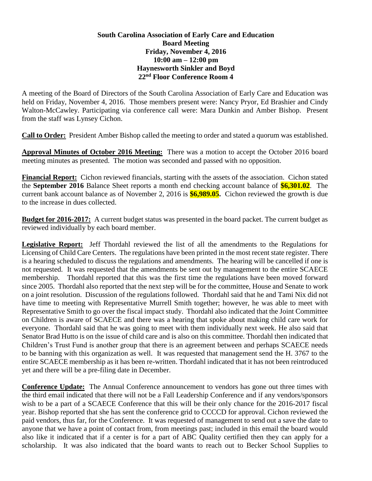## **South Carolina Association of Early Care and Education Board Meeting Friday, November 4, 2016 10:00 am – 12:00 pm Haynesworth Sinkler and Boyd 22nd Floor Conference Room 4**

A meeting of the Board of Directors of the South Carolina Association of Early Care and Education was held on Friday, November 4, 2016. Those members present were: Nancy Pryor, Ed Brashier and Cindy Walton-McCawley. Participating via conference call were: Mara Dunkin and Amber Bishop. Present from the staff was Lynsey Cichon.

**Call to Order:** President Amber Bishop called the meeting to order and stated a quorum was established.

**Approval Minutes of October 2016 Meeting:** There was a motion to accept the October 2016 board meeting minutes as presented. The motion was seconded and passed with no opposition.

**Financial Report:** Cichon reviewed financials, starting with the assets of the association. Cichon stated the **September 2016** Balance Sheet reports a month end checking account balance of **\$6,301.02**. The current bank account balance as of November 2, 2016 is **\$6,989.05.** Cichon reviewed the growth is due to the increase in dues collected.

**Budget for 2016-2017:** A current budget status was presented in the board packet. The current budget as reviewed individually by each board member.

**Legislative Report:** Jeff Thordahl reviewed the list of all the amendments to the Regulations for Licensing of Child Care Centers. The regulations have been printed in the most recent state register. There is a hearing scheduled to discuss the regulations and amendments. The hearing will be cancelled if one is not requested. It was requested that the amendments be sent out by management to the entire SCAECE membership. Thordahl reported that this was the first time the regulations have been moved forward since 2005. Thordahl also reported that the next step will be for the committee, House and Senate to work on a joint resolution. Discussion of the regulations followed. Thordahl said that he and Tami Nix did not have time to meeting with Representative Murrell Smith together; however, he was able to meet with Representative Smith to go over the fiscal impact study. Thordahl also indicated that the Joint Committee on Children is aware of SCAECE and there was a hearing that spoke about making child care work for everyone. Thordahl said that he was going to meet with them individually next week. He also said that Senator Brad Hutto is on the issue of child care and is also on this committee. Thordahl then indicated that Children's Trust Fund is another group that there is an agreement between and perhaps SCAECE needs to be banning with this organization as well. It was requested that management send the H. 3767 to the entire SCAECE membership as it has been re-written. Thordahl indicated that it has not been reintroduced yet and there will be a pre-filing date in December.

**Conference Update:** The Annual Conference announcement to vendors has gone out three times with the third email indicated that there will not be a Fall Leadership Conference and if any vendors/sponsors wish to be a part of a SCAECE Conference that this will be their only chance for the 2016-2017 fiscal year. Bishop reported that she has sent the conference grid to CCCCD for approval. Cichon reviewed the paid vendors, thus far, for the Conference. It was requested of management to send out a save the date to anyone that we have a point of contact from, from meetings past; included in this email the board would also like it indicated that if a center is for a part of ABC Quality certified then they can apply for a scholarship. It was also indicated that the board wants to reach out to Becker School Supplies to